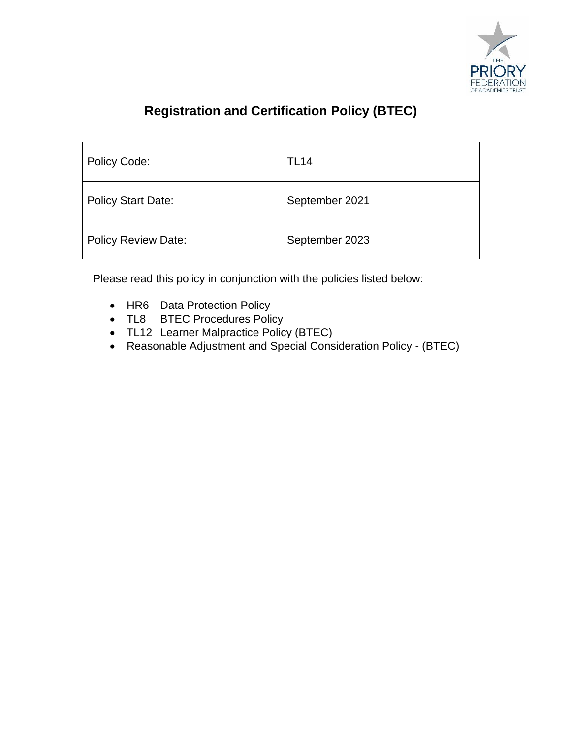

# **Registration and Certification Policy (BTEC)**

| Policy Code:               | <b>TL14</b>    |
|----------------------------|----------------|
| <b>Policy Start Date:</b>  | September 2021 |
| <b>Policy Review Date:</b> | September 2023 |

Please read this policy in conjunction with the policies listed below:

- HR6 Data Protection Policy
- TL8 BTEC Procedures Policy
- TL12 Learner Malpractice Policy (BTEC)
- Reasonable Adjustment and Special Consideration Policy (BTEC)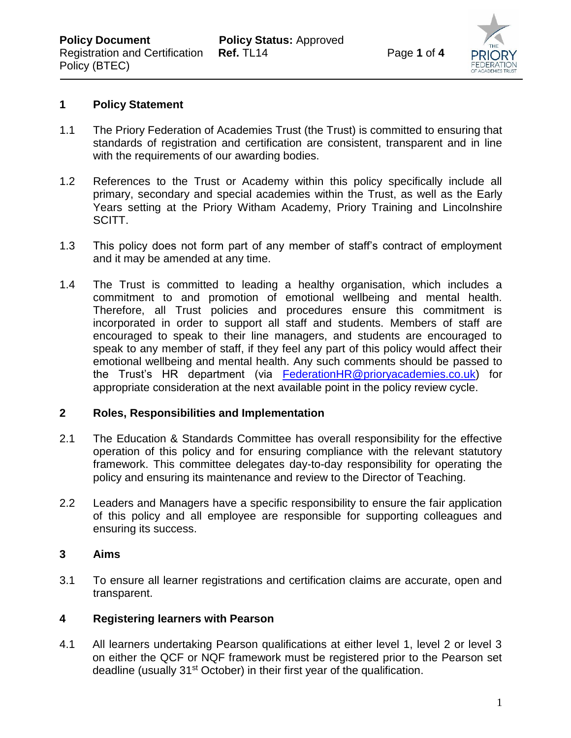

#### **1 Policy Statement**

Policy (BTEC)

- 1.1 The Priory Federation of Academies Trust (the Trust) is committed to ensuring that standards of registration and certification are consistent, transparent and in line with the requirements of our awarding bodies.
- 1.2 References to the Trust or Academy within this policy specifically include all primary, secondary and special academies within the Trust, as well as the Early Years setting at the Priory Witham Academy, Priory Training and Lincolnshire SCITT.
- 1.3 This policy does not form part of any member of staff's contract of employment and it may be amended at any time.
- 1.4 The Trust is committed to leading a healthy organisation, which includes a commitment to and promotion of emotional wellbeing and mental health. Therefore, all Trust policies and procedures ensure this commitment is incorporated in order to support all staff and students. Members of staff are encouraged to speak to their line managers, and students are encouraged to speak to any member of staff, if they feel any part of this policy would affect their emotional wellbeing and mental health. Any such comments should be passed to the Trust's HR department (via [FederationHR@prioryacademies.co.uk\)](mailto:FederationHR@prioryacademies.co.uk) for appropriate consideration at the next available point in the policy review cycle.

#### **2 Roles, Responsibilities and Implementation**

- 2.1 The Education & Standards Committee has overall responsibility for the effective operation of this policy and for ensuring compliance with the relevant statutory framework. This committee delegates day-to-day responsibility for operating the policy and ensuring its maintenance and review to the Director of Teaching.
- 2.2 Leaders and Managers have a specific responsibility to ensure the fair application of this policy and all employee are responsible for supporting colleagues and ensuring its success.

#### **3 Aims**

3.1 To ensure all learner registrations and certification claims are accurate, open and transparent.

# **4 Registering learners with Pearson**

4.1 All learners undertaking Pearson qualifications at either level 1, level 2 or level 3 on either the QCF or NQF framework must be registered prior to the Pearson set deadline (usually 31<sup>st</sup> October) in their first year of the qualification.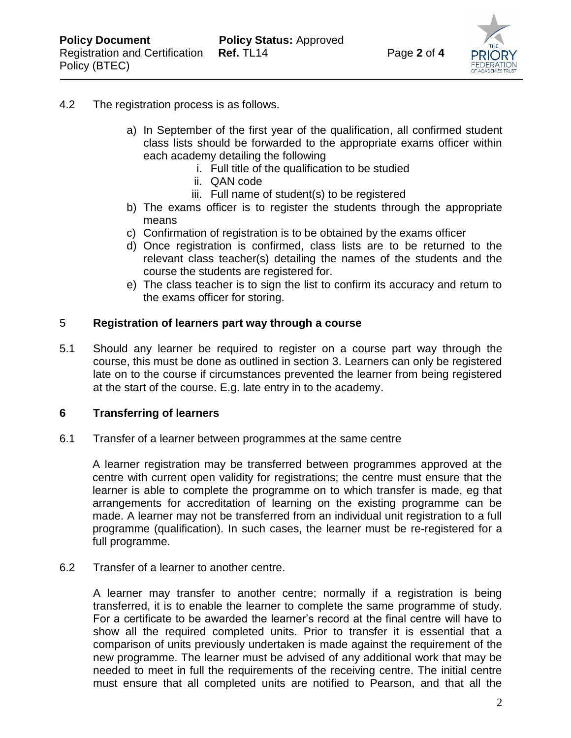

# 4.2 The registration process is as follows.

- a) In September of the first year of the qualification, all confirmed student class lists should be forwarded to the appropriate exams officer within each academy detailing the following
	- i. Full title of the qualification to be studied
	- ii. QAN code
	- iii. Full name of student(s) to be registered
- b) The exams officer is to register the students through the appropriate means
- c) Confirmation of registration is to be obtained by the exams officer
- d) Once registration is confirmed, class lists are to be returned to the relevant class teacher(s) detailing the names of the students and the course the students are registered for.
- e) The class teacher is to sign the list to confirm its accuracy and return to the exams officer for storing.

#### 5 **Registration of learners part way through a course**

5.1 Should any learner be required to register on a course part way through the course, this must be done as outlined in section 3. Learners can only be registered late on to the course if circumstances prevented the learner from being registered at the start of the course. E.g. late entry in to the academy.

#### **6 Transferring of learners**

6.1 Transfer of a learner between programmes at the same centre

A learner registration may be transferred between programmes approved at the centre with current open validity for registrations; the centre must ensure that the learner is able to complete the programme on to which transfer is made, eg that arrangements for accreditation of learning on the existing programme can be made. A learner may not be transferred from an individual unit registration to a full programme (qualification). In such cases, the learner must be re-registered for a full programme.

#### 6.2 Transfer of a learner to another centre.

A learner may transfer to another centre; normally if a registration is being transferred, it is to enable the learner to complete the same programme of study. For a certificate to be awarded the learner's record at the final centre will have to show all the required completed units. Prior to transfer it is essential that a comparison of units previously undertaken is made against the requirement of the new programme. The learner must be advised of any additional work that may be needed to meet in full the requirements of the receiving centre. The initial centre must ensure that all completed units are notified to Pearson, and that all the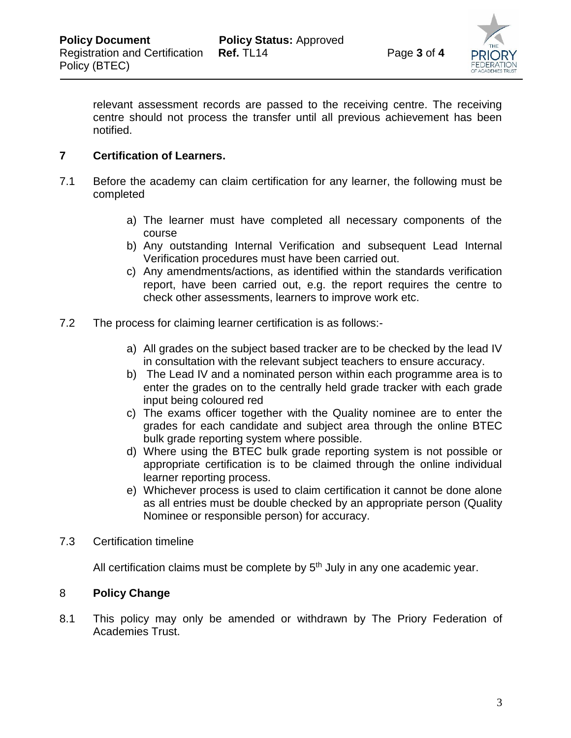

relevant assessment records are passed to the receiving centre. The receiving centre should not process the transfer until all previous achievement has been notified.

#### **7 Certification of Learners.**

- 7.1 Before the academy can claim certification for any learner, the following must be completed
	- a) The learner must have completed all necessary components of the course
	- b) Any outstanding Internal Verification and subsequent Lead Internal Verification procedures must have been carried out.
	- c) Any amendments/actions, as identified within the standards verification report, have been carried out, e.g. the report requires the centre to check other assessments, learners to improve work etc.
- 7.2 The process for claiming learner certification is as follows:
	- a) All grades on the subject based tracker are to be checked by the lead IV in consultation with the relevant subject teachers to ensure accuracy.
	- b) The Lead IV and a nominated person within each programme area is to enter the grades on to the centrally held grade tracker with each grade input being coloured red
	- c) The exams officer together with the Quality nominee are to enter the grades for each candidate and subject area through the online BTEC bulk grade reporting system where possible.
	- d) Where using the BTEC bulk grade reporting system is not possible or appropriate certification is to be claimed through the online individual learner reporting process.
	- e) Whichever process is used to claim certification it cannot be done alone as all entries must be double checked by an appropriate person (Quality Nominee or responsible person) for accuracy.
- 7.3 Certification timeline

All certification claims must be complete by  $5<sup>th</sup>$  July in any one academic year.

# 8 **Policy Change**

8.1 This policy may only be amended or withdrawn by The Priory Federation of Academies Trust.